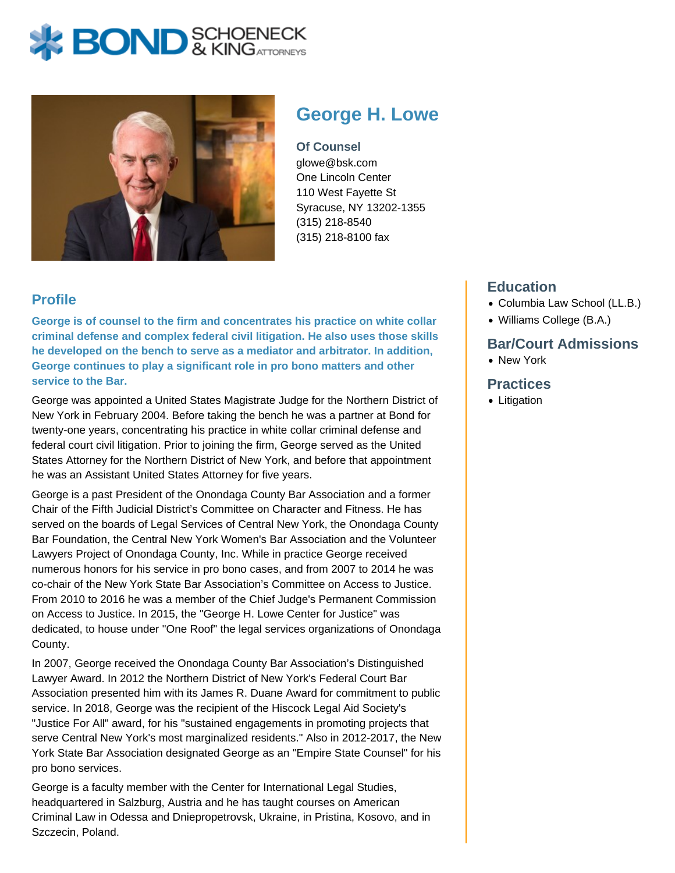# **X BOND** & KINGATTORNECK



# **George H. Lowe**

**Of Counsel** glowe@bsk.com One Lincoln Center 110 West Fayette St Syracuse, NY 13202-1355 (315) 218-8540 (315) 218-8100 fax

## **Profile**

**George is of counsel to the firm and concentrates his practice on white collar criminal defense and complex federal civil litigation. He also uses those skills he developed on the bench to serve as a mediator and arbitrator. In addition, George continues to play a significant role in pro bono matters and other service to the Bar.**

George was appointed a United States Magistrate Judge for the Northern District of New York in February 2004. Before taking the bench he was a partner at Bond for twenty-one years, concentrating his practice in white collar criminal defense and federal court civil litigation. Prior to joining the firm, George served as the United States Attorney for the Northern District of New York, and before that appointment he was an Assistant United States Attorney for five years.

George is a past President of the Onondaga County Bar Association and a former Chair of the Fifth Judicial District's Committee on Character and Fitness. He has served on the boards of Legal Services of Central New York, the Onondaga County Bar Foundation, the Central New York Women's Bar Association and the Volunteer Lawyers Project of Onondaga County, Inc. While in practice George received numerous honors for his service in pro bono cases, and from 2007 to 2014 he was co-chair of the New York State Bar Association's Committee on Access to Justice. From 2010 to 2016 he was a member of the Chief Judge's Permanent Commission on Access to Justice. In 2015, the "George H. Lowe Center for Justice" was dedicated, to house under "One Roof" the legal services organizations of Onondaga County.

In 2007, George received the Onondaga County Bar Association's Distinguished Lawyer Award. In 2012 the Northern District of New York's Federal Court Bar Association presented him with its James R. Duane Award for commitment to public service. In 2018, George was the recipient of the Hiscock Legal Aid Society's "Justice For All" award, for his "sustained engagements in promoting projects that serve Central New York's most marginalized residents." Also in 2012-2017, the New York State Bar Association designated George as an "Empire State Counsel" for his pro bono services.

George is a faculty member with the Center for International Legal Studies, headquartered in Salzburg, Austria and he has taught courses on American Criminal Law in Odessa and Dniepropetrovsk, Ukraine, in Pristina, Kosovo, and in Szczecin, Poland.

### **Education**

- Columbia Law School (LL.B.)
- Williams College (B.A.)

#### **Bar/Court Admissions**

• New York

#### **Practices**

• Litigation